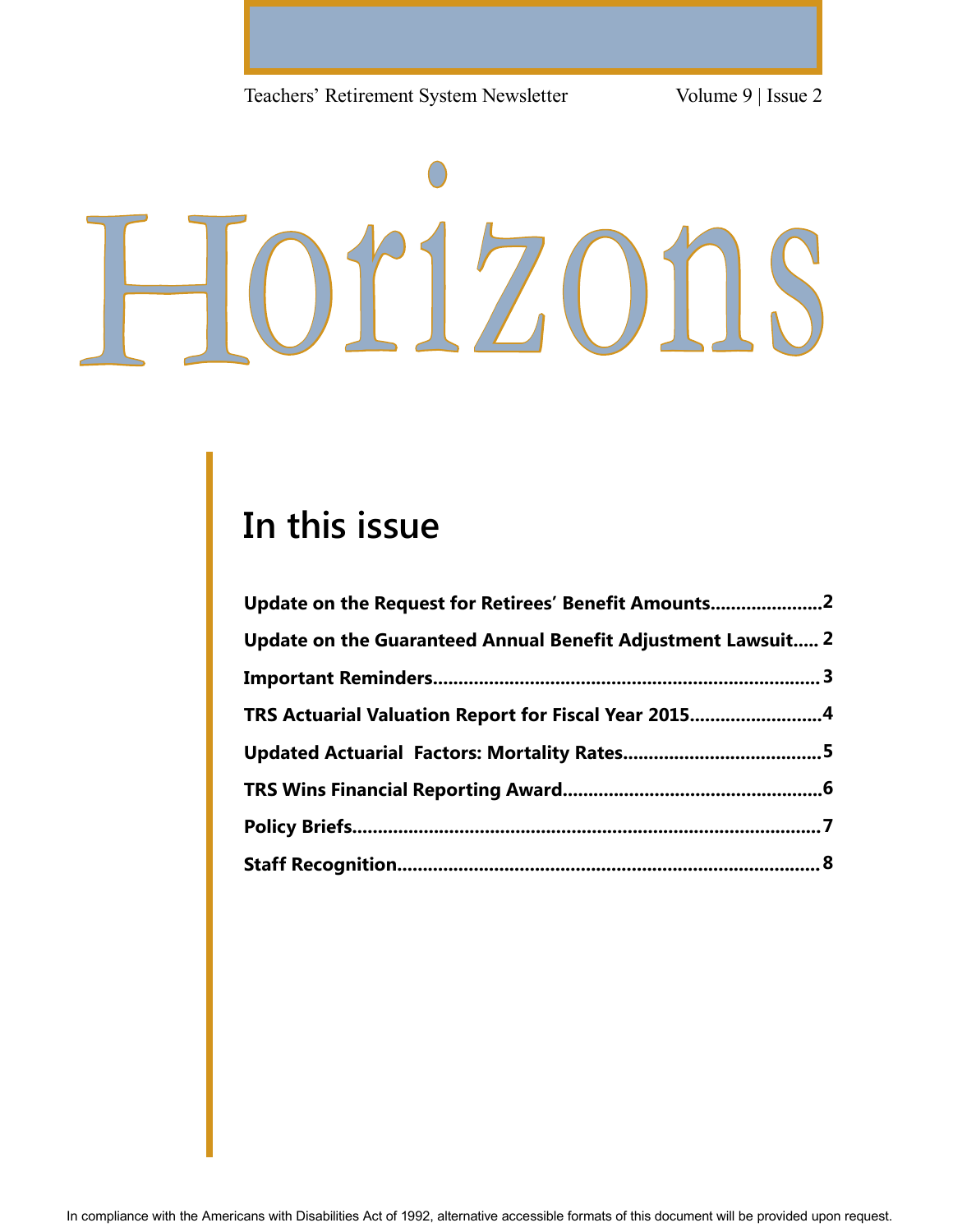Teachers' Retirement System Newsletter Volume 9 | Issue 2

# Horizons

# **In this issue**

| Update on the Request for Retirees' Benefit Amounts2         |  |
|--------------------------------------------------------------|--|
| Update on the Guaranteed Annual Benefit Adjustment Lawsuit 2 |  |
|                                                              |  |
| TRS Actuarial Valuation Report for Fiscal Year 20154         |  |
|                                                              |  |
|                                                              |  |
|                                                              |  |
|                                                              |  |

In compliance with the Americans with Disabilities Act of 1992, alternative accessible formats of this document will be provided upon request.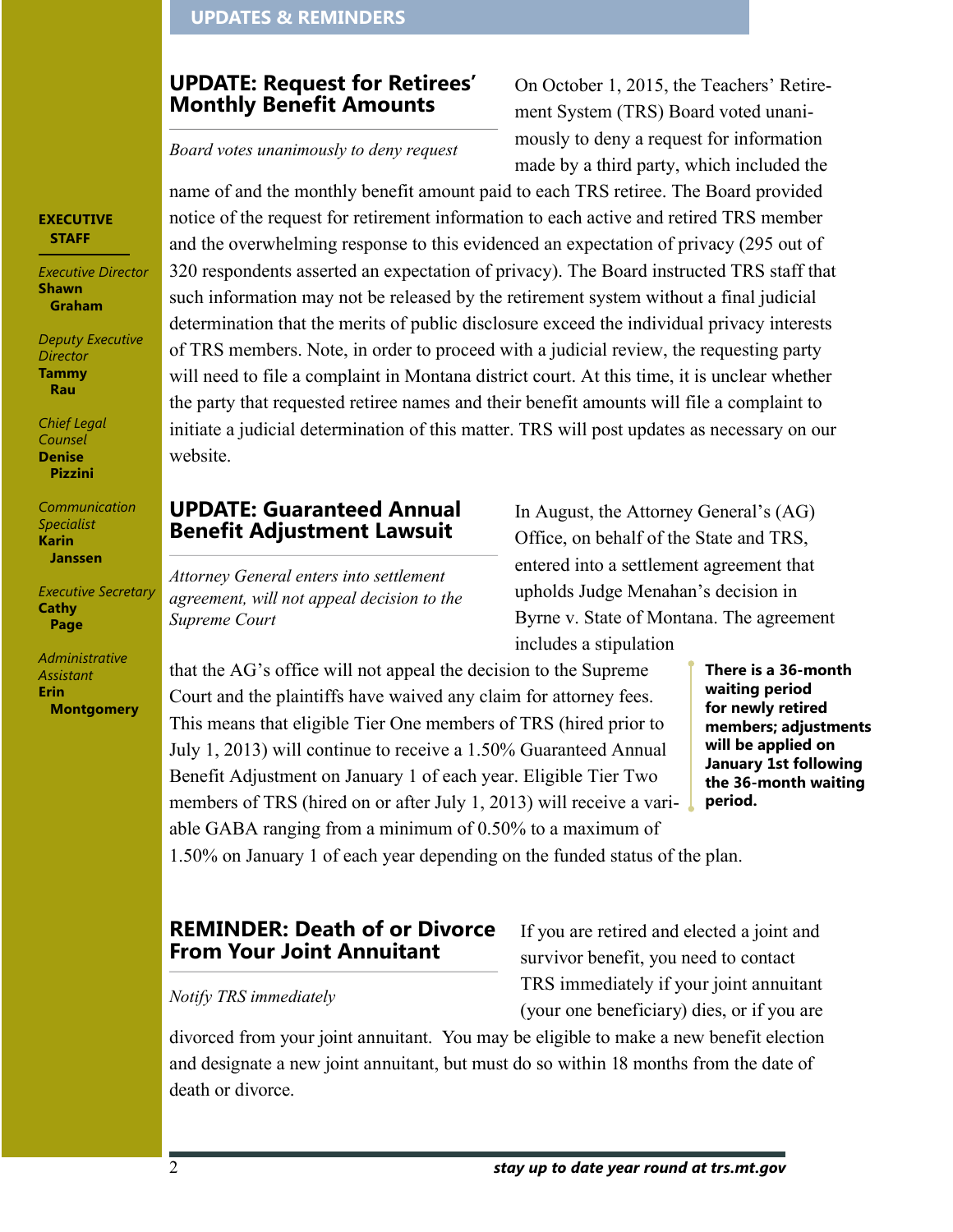## <span id="page-1-0"></span>**UPDATE: Request for Retirees' Monthly Benefit Amounts**

*Board votes unanimously to deny request*

On October 1, 2015, the Teachers' Retirement System (TRS) Board voted unanimously to deny a request for information made by a third party, which included the

name of and the monthly benefit amount paid to each TRS retiree. The Board provided notice of the request for retirement information to each active and retired TRS member and the overwhelming response to this evidenced an expectation of privacy (295 out of 320 respondents asserted an expectation of privacy). The Board instructed TRS staff that such information may not be released by the retirement system without a final judicial determination that the merits of public disclosure exceed the individual privacy interests of TRS members. Note, in order to proceed with a judicial review, the requesting party will need to file a complaint in Montana district court. At this time, it is unclear whether the party that requested retiree names and their benefit amounts will file a complaint to initiate a judicial determination of this matter. TRS will post updates as necessary on our website.

#### **UPDATE: Guaranteed Annual Benefit Adjustment Lawsuit**

*Attorney General enters into settlement agreement, will not appeal decision to the Supreme Court*

In August, the Attorney General's (AG) Office, on behalf of the State and TRS, entered into a settlement agreement that upholds Judge Menahan's decision in Byrne v. State of Montana. The agreement includes a stipulation

that the AG's office will not appeal the decision to the Supreme Court and the plaintiffs have waived any claim for attorney fees. This means that eligible Tier One members of TRS (hired prior to July 1, 2013) will continue to receive a 1.50% Guaranteed Annual Benefit Adjustment on January 1 of each year. Eligible Tier Two members of TRS (hired on or after July 1, 2013) will receive a variable GABA ranging from a minimum of 0.50% to a maximum of

**There is a 36-month waiting period for newly retired members; adjustments will be applied on January 1st following the 36-month waiting period.**

1.50% on January 1 of each year depending on the funded status of the plan.

# **REMINDER: Death of or Divorce From Your Joint Annuitant**

#### *Notify TRS immediately*

If you are retired and elected a joint and survivor benefit, you need to contact TRS immediately if your joint annuitant (your one beneficiary) dies, or if you are

divorced from your joint annuitant. You may be eligible to make a new benefit election and designate a new joint annuitant, but must do so within 18 months from the date of death or divorce.

#### **EXECUTIVE STAFF**

*Executive Director* **Shawn Graham**

*Deputy Executive Director* **Tammy Rau**

*Chief Legal Counsel* **Denise Pizzini**

*Communication Specialist* **Karin Janssen**

*Executive Secretary* **Cathy Page**

*Administrative Assistant* **Erin Montgomery**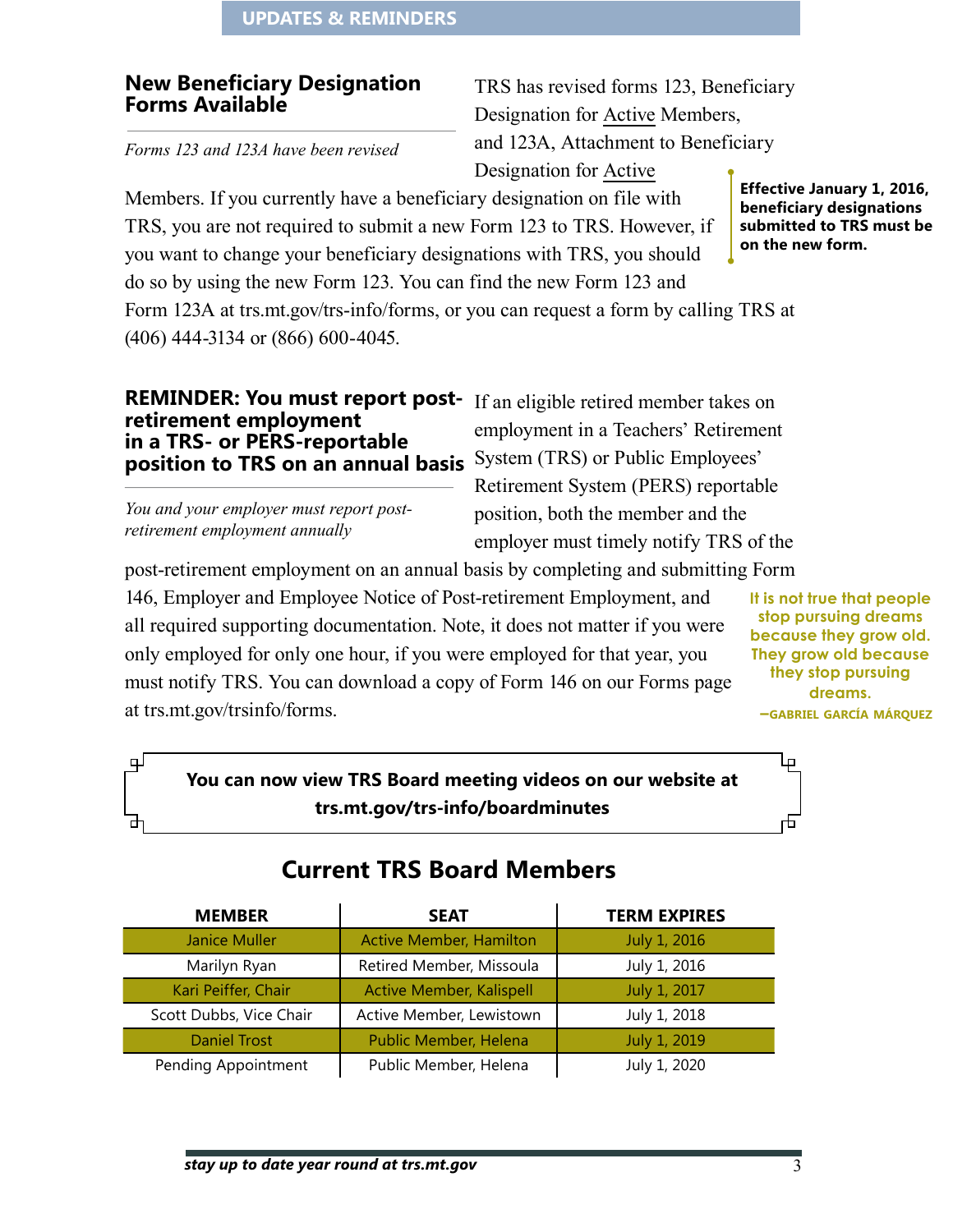#### <span id="page-2-0"></span>**New Beneficiary Designation Forms Available**

TRS has revised forms 123, Beneficiary Designation for Active Members, and 123A, Attachment to Beneficiary Designation for Active

**Effective January 1, 2016, beneficiary designations submitted to TRS must be on the new form.**

*Forms 123 and 123A have been revised*

Members. If you currently have a beneficiary designation on file with TRS, you are not required to submit a new Form 123 to TRS. However, if you want to change your beneficiary designations with TRS, you should do so by using the new Form 123. You can find the new Form 123 and Form 123A at [trs.mt.gov/](trs.mt.gov/trsinfo/forms)trs-info/forms, or you can request a form by calling TRS at (406) 444-3134 or (866) 600-4045.

#### **REMINDER: You must report post-** If an eligible retired member takes on **position to TRS on an annual basis** System (TRS) or Public Employees' **retirement employment in a TRS- or PERS-reportable**

*You and your employer must report postretirement employment annually*

employment in a Teachers' Retirement Retirement System (PERS) reportable position, both the member and the employer must timely notify TRS of the

post-retirement employment on an annual basis by completing and submitting Form 146, Employer and Employee Notice of Post-retirement Employment, and all required supporting documentation. Note, it does not matter if you were only employed for only one hour, if you were employed for that year, you must notify TRS. You can download a copy of Form 146 on our Forms page at [trs.mt.gov/trsinfo/forms.](trs.mt.gov/trsinfo/forms)

**It is not true that people stop pursuing dreams because they grow old. They grow old because they stop pursuing dreams. –gabriel garcía márquez**

| 모 |                                                             |  |
|---|-------------------------------------------------------------|--|
|   | You can now view TRS Board meeting videos on our website at |  |
|   | trs.mt.gov/trs-info/boardminutes                            |  |
| ᇚ |                                                             |  |

| <b>MEMBER</b>           | <b>SEAT</b>                     | <b>TERM EXPIRES</b> |  |  |
|-------------------------|---------------------------------|---------------------|--|--|
| <b>Janice Muller</b>    | <b>Active Member, Hamilton</b>  | July 1, 2016        |  |  |
| Marilyn Ryan            | Retired Member, Missoula        | July 1, 2016        |  |  |
| Kari Peiffer, Chair     | <b>Active Member, Kalispell</b> | July 1, 2017        |  |  |
| Scott Dubbs, Vice Chair | Active Member, Lewistown        | July 1, 2018        |  |  |
| <b>Daniel Trost</b>     | Public Member, Helena           | July 1, 2019        |  |  |
| Pending Appointment     | Public Member, Helena           | July 1, 2020        |  |  |

# **Current TRS Board Members**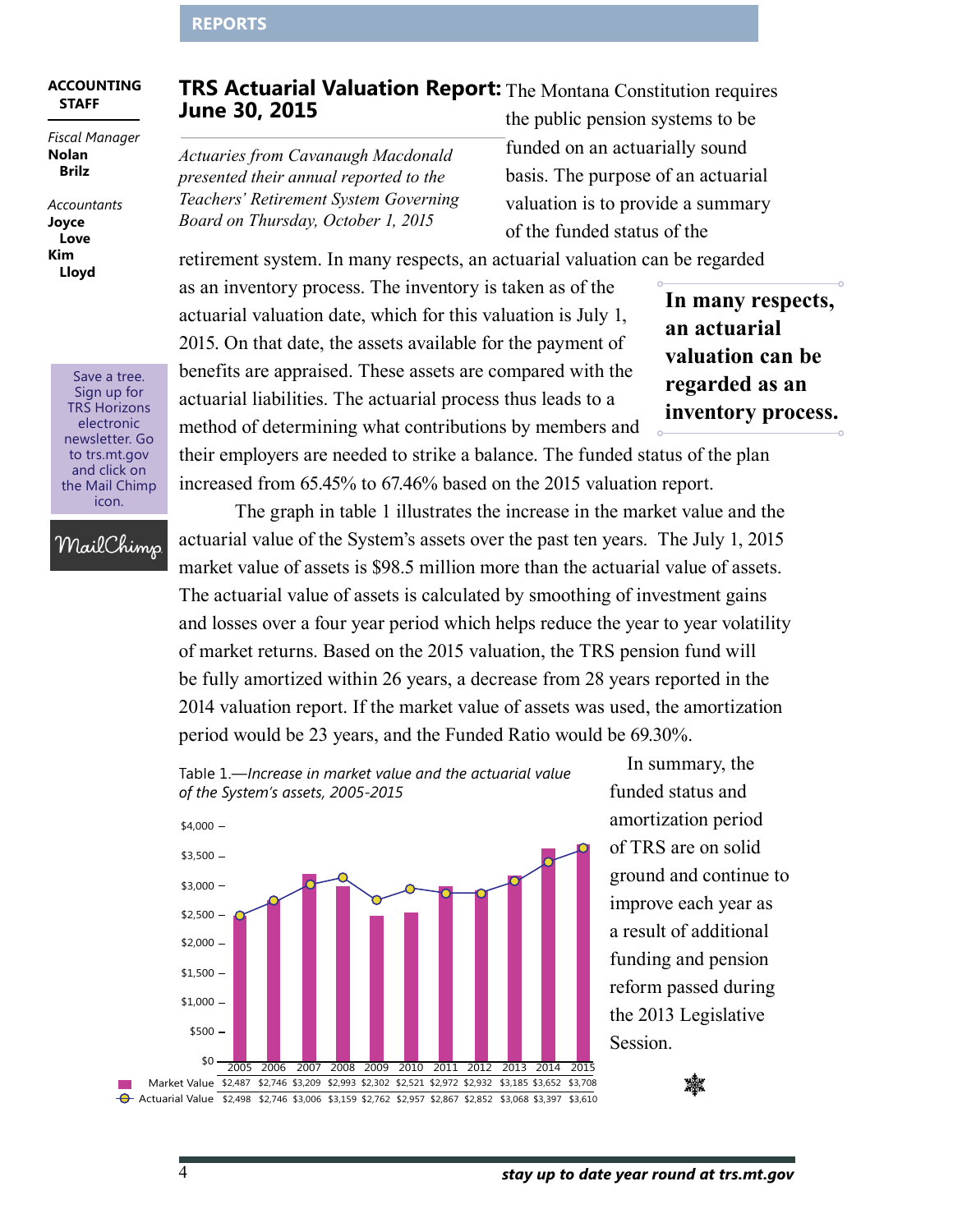#### **REPORTS**

#### <span id="page-3-0"></span>**ACCOUNTING STAFF**

*Fiscal Manager* **Nolan Brilz**

*Accountants* **Joyce Love Kim Lloyd**

> Save a tree. Sign up for TRS Horizons electronic newsletter. Go to<trs.mt.gov> and click on the Mail Chimp icon.

## MailChimp

**TRS Actuarial Valuation Report:** The Montana Constitution requires **June 30, 2015**

*Actuaries from Cavanaugh Macdonald presented their annual reported to the Teachers' Retirement System Governing Board on Thursday, October 1, 2015*

the public pension systems to be funded on an actuarially sound basis. The purpose of an actuarial valuation is to provide a summary of the funded status of the

retirement system. In many respects, an actuarial valuation can be regarded

as an inventory process. The inventory is taken as of the actuarial valuation date, which for this valuation is July 1, 2015. On that date, the assets available for the payment of benefits are appraised. These assets are compared with the actuarial liabilities. The actuarial process thus leads to a method of determining what contributions by members and

**In many respects, an actuarial valuation can be regarded as an inventory process.**

their employers are needed to strike a balance. The funded status of the plan increased from 65.45% to 67.46% based on the 2015 valuation report.

The graph in table 1 illustrates the increase in the market value and the actuarial value of the System's assets over the past ten years. The July 1, 2015 market value of assets is \$98.5 million more than the actuarial value of assets. The actuarial value of assets is calculated by smoothing of investment gains and losses over a four year period which helps reduce the year to year volatility of market returns. Based on the 2015 valuation, the TRS pension fund will be fully amortized within 26 years, a decrease from 28 years reported in the 2014 valuation report. If the market value of assets was used, the amortization period would be 23 years, and the Funded Ratio would be 69.30%.

Table 1.—*Increase in market value and the actuarial value of the System's assets, 2005-2015*



In summary, the funded status and amortization period of TRS are on solid ground and continue to improve each year as a result of additional funding and pension reform passed during the 2013 Legislative Session.

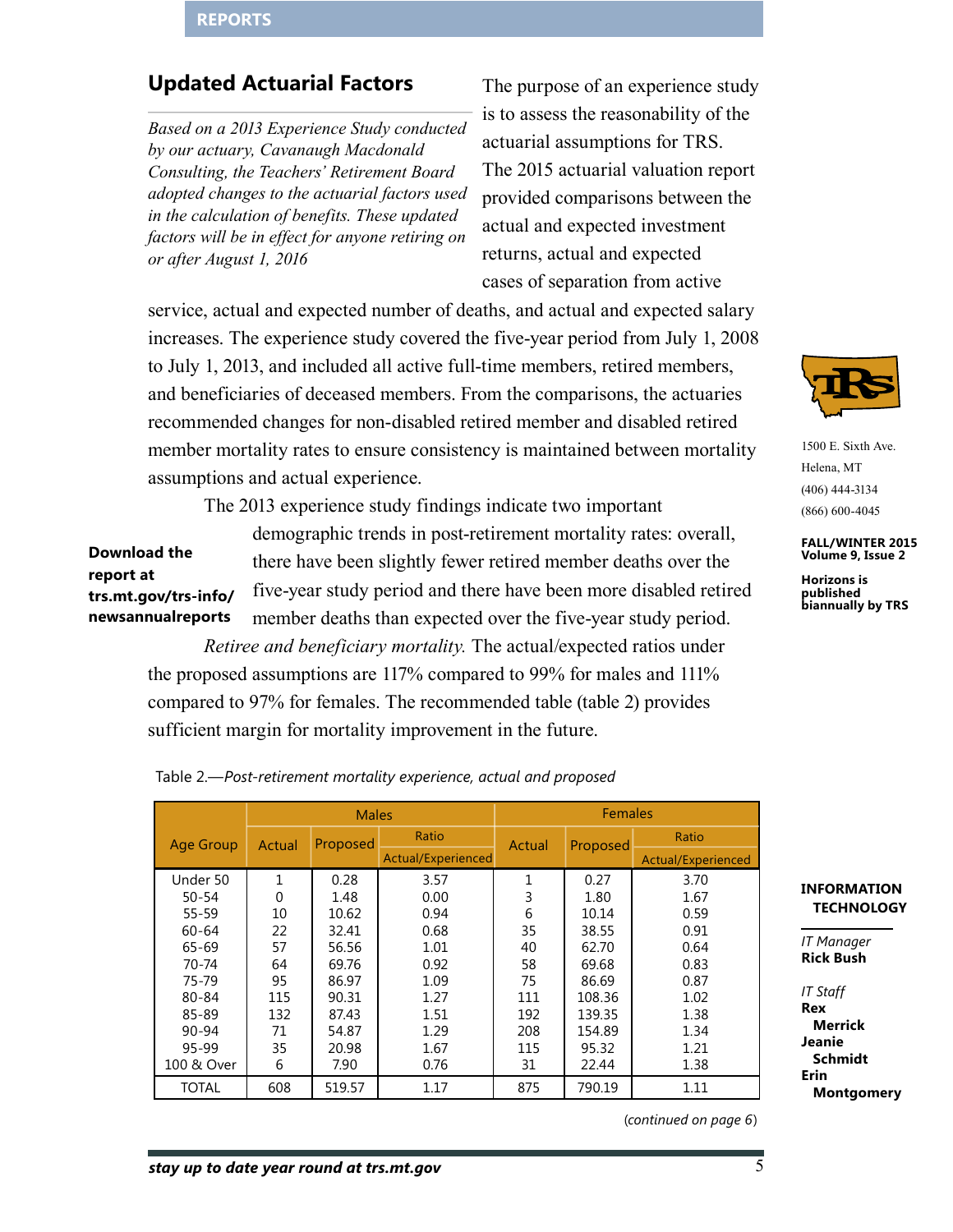# <span id="page-4-0"></span>**Updated Actuarial Factors**

*Based on a 2013 Experience Study conducted by our actuary, Cavanaugh Macdonald Consulting, the Teachers' Retirement Board adopted changes to the actuarial factors used in the calculation of benefits. These updated factors will be in effect for anyone retiring on or after August 1, 2016*

The purpose of an experience study is to assess the reasonability of the actuarial assumptions for TRS. The 2015 actuarial valuation report provided comparisons between the actual and expected investment returns, actual and expected cases of separation from active

service, actual and expected number of deaths, and actual and expected salary increases. The experience study covered the five-year period from July 1, 2008 to July 1, 2013, and included all active full-time members, retired members, and beneficiaries of deceased members. From the comparisons, the actuaries recommended changes for non-disabled retired member and disabled retired member mortality rates to ensure consistency is maintained between mortality assumptions and actual experience.

The 2013 experience study findings indicate two important

#### **Download the report at trs.mt.gov/trs-info/ newsannualreports**

demographic trends in post-retirement mortality rates: overall, there have been slightly fewer retired member deaths over the five-year study period and there have been more disabled retired member deaths than expected over the five-year study period. *Retiree and beneficiary mortality.* The actual/expected ratios under

the proposed assumptions are 117% compared to 99% for males and 111% compared to 97% for females. The recommended table (table 2) provides sufficient margin for mortality improvement in the future.

|              |          | <b>Males</b> |                    | <b>Females</b> |          |                    |  |
|--------------|----------|--------------|--------------------|----------------|----------|--------------------|--|
| Age Group    | Actual   | Proposed     | Ratio              | Actual         | Proposed | Ratio              |  |
|              |          |              | Actual/Experienced |                |          | Actual/Experienced |  |
| Under 50     | 1        | 0.28         | 3.57               | 1              | 0.27     | 3.70               |  |
| $50 - 54$    | $\theta$ | 1.48         | 0.00               | 3              | 1.80     | 1.67               |  |
| $55 - 59$    | 10       | 10.62        | 0.94               | 6              | 10.14    | 0.59               |  |
| $60 - 64$    | 22       | 32.41        | 0.68               | 35             | 38.55    | 0.91               |  |
| 65-69        | 57       | 56.56        | 1.01               | 40             | 62.70    | 0.64               |  |
| $70 - 74$    | 64       | 69.76        | 0.92               | 58             | 69.68    | 0.83               |  |
| 75-79        | 95       | 86.97        | 1.09               | 75             | 86.69    | 0.87               |  |
| 80-84        | 115      | 90.31        | 1.27               | 111            | 108.36   | 1.02               |  |
| 85-89        | 132      | 87.43        | 1.51               | 192            | 139.35   | 1.38               |  |
| $90 - 94$    | 71       | 54.87        | 1.29               | 208            | 154.89   | 1.34               |  |
| 95-99        | 35       | 20.98        | 1.67               | 115            | 95.32    | 1.21               |  |
| 100 & Over   | 6        | 7.90         | 0.76               | 31             | 22.44    | 1.38               |  |
| <b>TOTAL</b> | 608      | 519.57       | 1.17               | 875            | 790.19   | 1.11               |  |

Table 2.—*Post-retirement mortality experience, actual and proposed*





1500 E. Sixth Ave. Helena, MT (406) 444-3134 (866) 600-4045

**FALL/WINTER 2015 Volume 9, Issue 2**

**Horizons is published biannually by TRS**

**INFORMATION TECHNOLOGY**

 **Montgomery**

*IT Manager* **Rick Bush**

*IT Staff* **Rex Merrick Jeanie Schmidt Erin**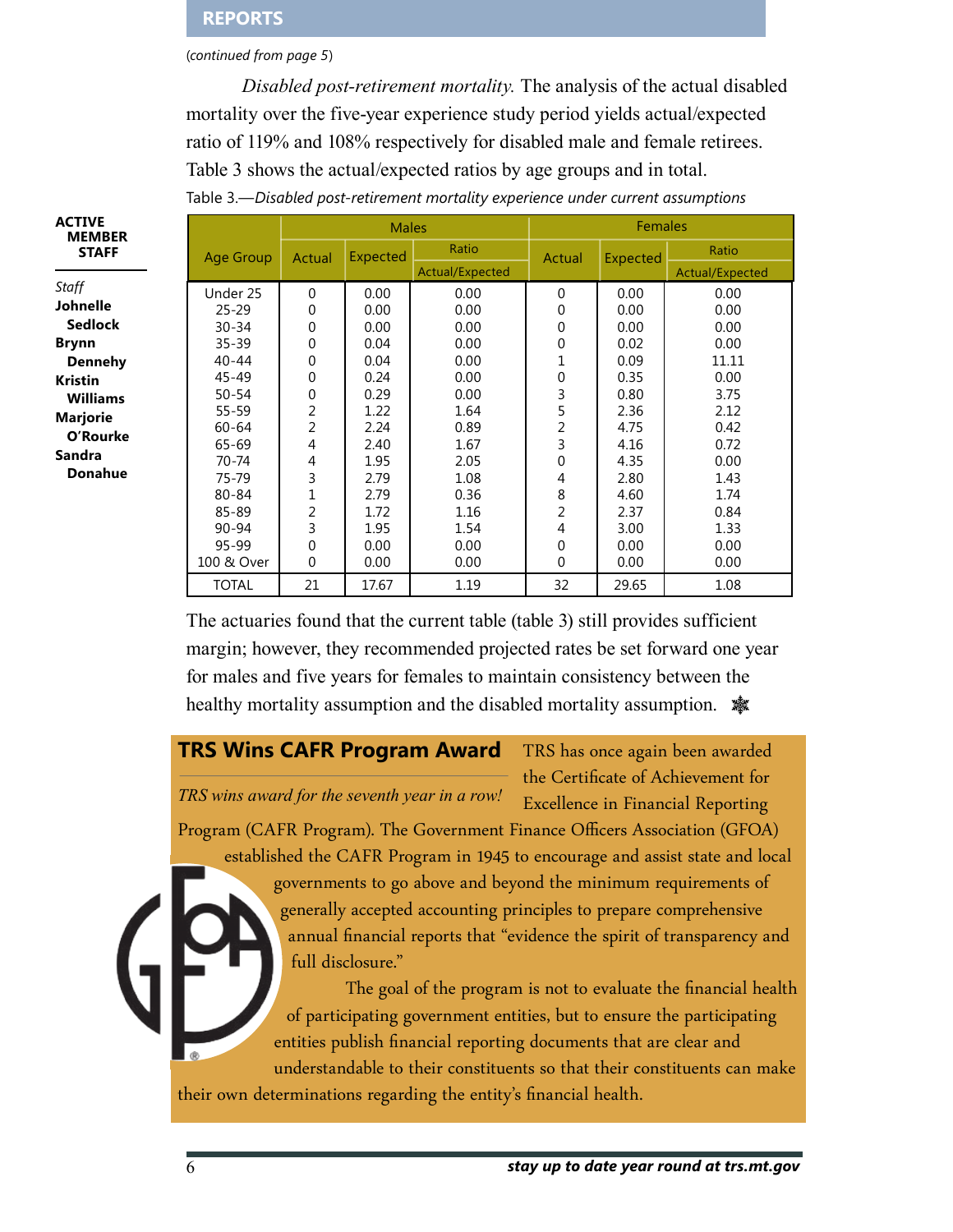#### **REPORTS**

#### <span id="page-5-0"></span>(*continued from page 5*)

*Disabled post-retirement mortality.* The analysis of the actual disabled mortality over the five-year experience study period yields actual/expected ratio of 119% and 108% respectively for disabled male and female retirees. Table 3 shows the actual/expected ratios by age groups and in total.

| <b>ACTIVE</b><br><b>MEMBER</b> |              | <b>Males</b> |          |                 | <b>Females</b> |                 |                 |  |
|--------------------------------|--------------|--------------|----------|-----------------|----------------|-----------------|-----------------|--|
| <b>STAFF</b>                   | Age Group    | Actual       | Expected | Ratio           | Actual         | <b>Expected</b> | Ratio           |  |
|                                |              |              |          | Actual/Expected |                |                 | Actual/Expected |  |
| Staff                          | Under 25     | $\mathbf 0$  | 0.00     | 0.00            | 0              | 0.00            | 0.00            |  |
| Johnelle                       | $25 - 29$    | 0            | 0.00     | 0.00            | 0              | 0.00            | 0.00            |  |
| <b>Sedlock</b>                 | $30 - 34$    | 0            | 0.00     | 0.00            | 0              | 0.00            | 0.00            |  |
| <b>Brynn</b>                   | $35 - 39$    | 0            | 0.04     | 0.00            | 0              | 0.02            | 0.00            |  |
| <b>Dennehy</b>                 | 40-44        | 0            | 0.04     | 0.00            |                | 0.09            | 11.11           |  |
| <b>Kristin</b>                 | 45-49        | 0            | 0.24     | 0.00            | 0              | 0.35            | 0.00            |  |
| <b>Williams</b>                | $50 - 54$    | 0            | 0.29     | 0.00            | 3              | 0.80            | 3.75            |  |
| <b>Marjorie</b>                | $55 - 59$    | 2            | 1.22     | 1.64            | 5              | 2.36            | 2.12            |  |
| O'Rourke                       | $60 - 64$    | 2            | 2.24     | 0.89            | 2              | 4.75            | 0.42            |  |
|                                | $65 - 69$    | 4            | 2.40     | 1.67            | 3              | 4.16            | 0.72            |  |
| Sandra                         | 70-74        | 4            | 1.95     | 2.05            | 0              | 4.35            | 0.00            |  |
| <b>Donahue</b>                 | 75-79        | 3            | 2.79     | 1.08            | 4              | 2.80            | 1.43            |  |
|                                | 80-84        | 1            | 2.79     | 0.36            | 8              | 4.60            | 1.74            |  |
|                                | 85-89        | 2            | 1.72     | 1.16            | 2              | 2.37            | 0.84            |  |
|                                | 90-94        | 3            | 1.95     | 1.54            | 4              | 3.00            | 1.33            |  |
|                                | 95-99        | 0            | 0.00     | 0.00            | 0              | 0.00            | 0.00            |  |
|                                | 100 & Over   | $\mathbf 0$  | 0.00     | 0.00            | 0              | 0.00            | 0.00            |  |
|                                | <b>TOTAL</b> | 21           | 17.67    | 1.19            | 32             | 29.65           | 1.08            |  |

Table 3.—*Disabled post-retirement mortality experience under current assumptions*

The actuaries found that the current table (table 3) still provides sufficient margin; however, they recommended projected rates be set forward one year for males and five years for females to maintain consistency between the healthy mortality assumption and the disabled mortality assumption.  $\ast$ 

#### **TRS Wins CAFR Program Award**

*TRS wins award for the seventh year in a row!*

TRS has once again been awarded the Certificate of Achievement for Excellence in Financial Reporting

Program (CAFR Program). The Government Finance Officers Association (GFOA) established the CAFR Program in 1945 to encourage and assist state and local

governments to go above and beyond the minimum requirements of generally accepted accounting principles to prepare comprehensive annual financial reports that "evidence the spirit of transparency and full disclosure."

The goal of the program is not to evaluate the financial health of participating government entities, but to ensure the participating entities publish financial reporting documents that are clear and understandable to their constituents so that their constituents can make their own determinations regarding the entity's financial health.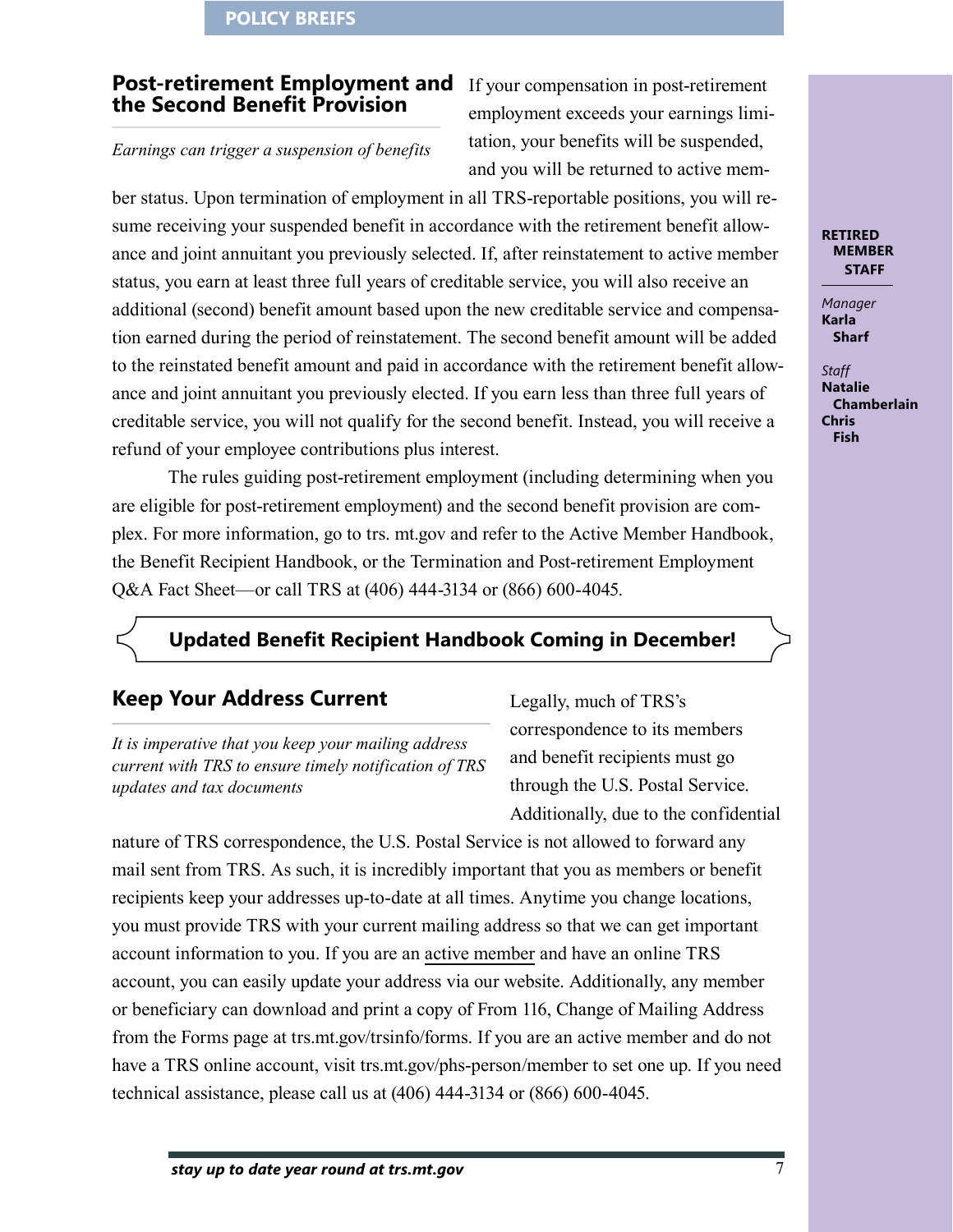#### **POLICY BREIFS**

#### <span id="page-6-0"></span>**Post-retirement Employment and** If your compensation in post-retirement **the Second Benefit Provision**

#### *Earnings can trigger a suspension of benefits*

employment exceeds your earnings limitation, your benefits will be suspended, and you will be returned to active mem-

ber status. Upon termination of employment in all TRS-reportable positions, you will resume receiving your suspended benefit in accordance with the retirement benefit allowance and joint annuitant you previously selected. If, after reinstatement to active member status, you earn at least three full years of creditable service, you will also receive an additional (second) benefit amount based upon the new creditable service and compensation earned during the period of reinstatement. The second benefit amount will be added to the reinstated benefit amount and paid in accordance with the retirement benefit allowance and joint annuitant you previously elected. If you earn less than three full years of creditable service, you will not qualify for the second benefit. Instead, you will receive a refund of your employee contributions plus interest.

The rules guiding post-retirement employment (including determining when you are eligible for post-retirement employment) and the second benefit provision are complex. For more information, go to [trs. mt.gov](trs.mt.gov) and refer to the Active Member Handbook, the Benefit Recipient Handbook, or the Termination and Post-retirement Employment Q&A Fact Sheet—or call TRS at (406) 444-3134 or (866) 600-4045.

### **Updated Benefit Recipient Handbook Coming in December!**

### **Keep Your Address Current**

*It is imperative that you keep your mailing address current with TRS to ensure timely notification of TRS updates and tax documents*

Legally, much of TRS's correspondence to its members and benefit recipients must go through the U.S. Postal Service. Additionally, due to the confidential

nature of TRS correspondence, the U.S. Postal Service is not allowed to forward any mail sent from TRS. As such, it is incredibly important that you as members or benefit recipients keep your addresses up-to-date at all times. Anytime you change locations, you must provide TRS with your current mailing address so that we can get important account information to you. If you are an active member and have an online TRS account, you can easily update your address via our website. Additionally, any member or beneficiary can download and print a copy of From 116, Change of Mailing Address from the Forms page at [trs.mt.gov/trsinfo/forms.](trs.mt.gov/trs-info/forms) If you are an active member and do not have a TRS online account, visit [trs.mt.gov/phs-person/member t](trs.mt.gov/phs-person/member)o set one up. If you need technical assistance, please call us at (406) 444-3134 or (866) 600-4045.

#### **RETIRED MEMBER STAFF**

*Manager* **Karla Sharf**

*Staff* **Natalie Chamberlain Chris Fish**